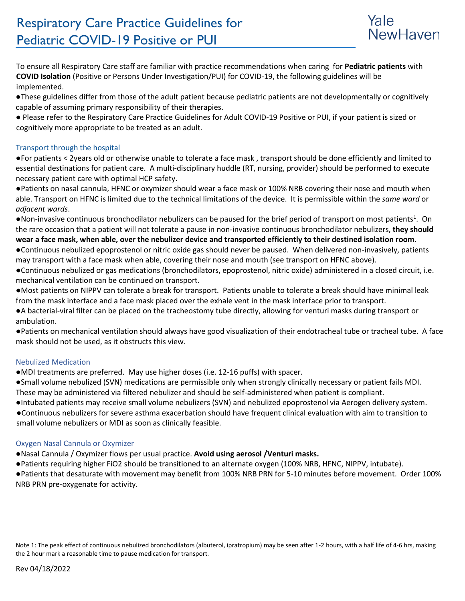

To ensure all Respiratory Care staff are familiar with practice recommendations when caring for **Pediatric patients** with **COVID Isolation** (Positive or Persons Under Investigation/PUI) for COVID-19, the following guidelines will be implemented.

●These guidelines differ from those of the adult patient because pediatric patients are not developmentally or cognitively capable of assuming primary responsibility of their therapies.

● Please refer to the Respiratory Care Practice Guidelines for Adult COVID-19 Positive or PUI, if your patient is sized or cognitively more appropriate to be treated as an adult.

# Transport through the hospital

●For patients < 2years old or otherwise unable to tolerate a face mask , transport should be done efficiently and limited to essential destinations for patient care. A multi-disciplinary huddle (RT, nursing, provider) should be performed to execute necessary patient care with optimal HCP safety.

●Patients on nasal cannula, HFNC or oxymizer should wear a face mask or 100% NRB covering their nose and mouth when able. Transport on HFNC is limited due to the technical limitations of the device. It is permissible within the *same ward* or *adjacent wards*.

.Non-invasive continuous bronchodilator nebulizers can be paused for the brief period of transport on most patients<sup>1</sup>. On the rare occasion that a patient will not tolerate a pause in non-invasive continuous bronchodilator nebulizers, **they should wear a face mask, when able, over the nebulizer device and transported efficiently to their destined isolation room.**

●Continuous nebulized epoprostenol or nitric oxide gas should never be paused. When delivered non-invasively, patients may transport with a face mask when able, covering their nose and mouth (see transport on HFNC above).

●Continuous nebulized or gas medications (bronchodilators, epoprostenol, nitric oxide) administered in a closed circuit, i.e. mechanical ventilation can be continued on transport.

●Most patients on NIPPV can tolerate a break for transport. Patients unable to tolerate a break should have minimal leak from the mask interface and a face mask placed over the exhale vent in the mask interface prior to transport.

●A bacterial-viral filter can be placed on the tracheostomy tube directly, allowing for venturi masks during transport or ambulation.

●Patients on mechanical ventilation should always have good visualization of their endotracheal tube or tracheal tube. A face mask should not be used, as it obstructs this view.

# Nebulized Medication

●MDI treatments are preferred. May use higher doses (i.e. 12-16 puffs) with spacer.

●Small volume nebulized (SVN) medications are permissible only when strongly clinically necessary or patient fails MDI. These may be administered via filtered nebulizer and should be self-administered when patient is compliant.

●Intubated patients may receive small volume nebulizers (SVN) and nebulized epoprostenol via Aerogen delivery system. ●Continuous nebulizers for severe asthma exacerbation should have frequent clinical evaluation with aim to transition to small volume nebulizers or MDI as soon as clinically feasible.

# Oxygen Nasal Cannula or Oxymizer

●Nasal Cannula / Oxymizer flows per usual practice. **Avoid using aerosol /Venturi masks.**

●Patients requiring higher FiO2 should be transitioned to an alternate oxygen (100% NRB, HFNC, NIPPV, intubate).

●Patients that desaturate with movement may benefit from 100% NRB PRN for 5-10 minutes before movement. Order 100% NRB PRN pre-oxygenate for activity.

Note 1: The peak effect of continuous nebulized bronchodilators (albuterol, ipratropium) may be seen after 1-2 hours, with a half life of 4-6 hrs, making the 2 hour mark a reasonable time to pause medication for transport.